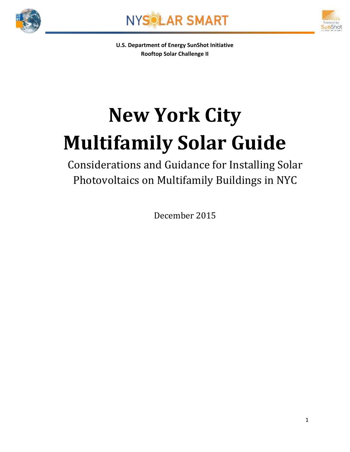





**U.S. Department of Energy SunShot Initiative Rooftop Solar Challenge II**

# **New York City Multifamily Solar Guide**

Considerations and Guidance for Installing Solar Photovoltaics on Multifamily Buildings in NYC

December 2015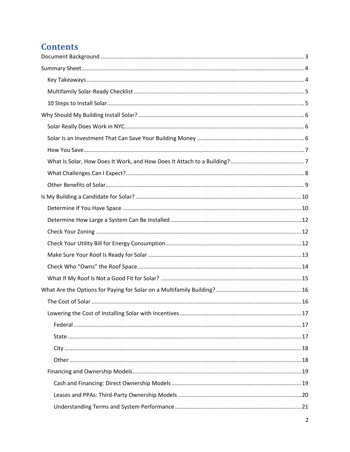# **Contents**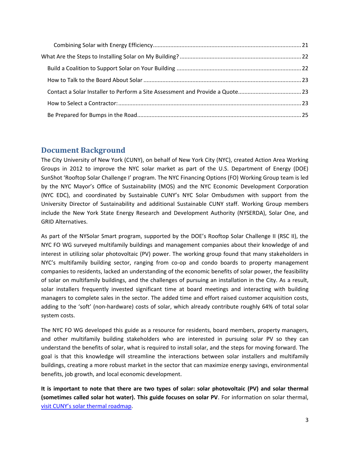## <span id="page-2-0"></span>**Document Background**

The City University of New York (CUNY), on behalf of New York City (NYC), created Action Area Working Groups in 2012 to improve the NYC solar market as part of the U.S. Department of Energy (DOE) SunShot 'Rooftop Solar Challenge I' program. The NYC Financing Options (FO) Working Group team is led by the NYC Mayor's Office of Sustainability (MOS) and the NYC Economic Development Corporation (NYC EDC), and coordinated by Sustainable CUNY's NYC Solar Ombudsmen with support from the University Director of Sustainability and additional Sustainable CUNY staff. Working Group members include the New York State Energy Research and Development Authority (NYSERDA), Solar One, and GRID Alternatives.

As part of the NYSolar Smart program, supported by the DOE's Rooftop Solar Challenge II (RSC II), the NYC FO WG surveyed multifamily buildings and management companies about their knowledge of and interest in utilizing solar photovoltaic (PV) power. The working group found that many stakeholders in NYC's multifamily building sector, ranging from co-op and condo boards to property management companies to residents, lacked an understanding of the economic benefits of solar power, the feasibility of solar on multifamily buildings, and the challenges of pursuing an installation in the City. As a result, solar installers frequently invested significant time at board meetings and interacting with building managers to complete sales in the sector. The added time and effort raised customer acquisition costs, adding to the 'soft' (non-hardware) costs of solar, which already contribute roughly 64% of total solar system costs.

The NYC FO WG developed this guide as a resource for residents, board members, property managers, and other multifamily building stakeholders who are interested in pursuing solar PV so they can understand the benefits of solar, what is required to install solar, and the steps for moving forward. The goal is that this knowledge will streamline the interactions between solar installers and multifamily buildings, creating a more robust market in the sector that can maximize energy savings, environmental benefits, job growth, and local economic development.

**It is important to note that there are two types of solar: solar photovoltaic (PV) and solar thermal (sometimes called solar hot water). This guide focuses on solar PV**. For information on solar thermal, [visit CUNY's solar thermal roadma](http://www.cuny.edu/about/resources/sustainability/solar-america/solarthermal.html)p.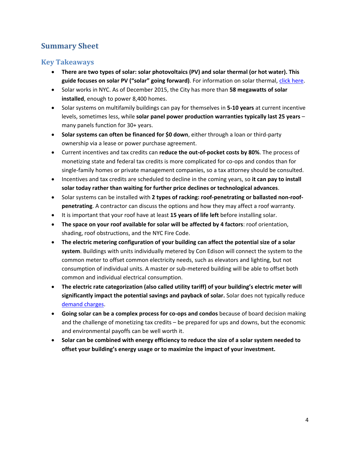# <span id="page-3-0"></span>**Summary Sheet**

## <span id="page-3-1"></span>**Key Takeaways**

- **There are two types of solar: solar photovoltaics (PV) and solar thermal (or hot water). This guide focuses on solar PV ("solar" going forward)**. For information on solar thermal, [click here.](http://www.cuny.edu/about/resources/sustainability/solar-america/solarthermal.html)
- Solar works in NYC. As of December 2015, the City has more than **58 megawatts of solar installed**, enough to power 8,400 homes.
- Solar systems on multifamily buildings can pay for themselves in **5-10 years** at current incentive levels, sometimes less, while **solar panel power production warranties typically last 25 years** – many panels function for 30+ years.
- **Solar systems can often be financed for \$0 down**, either through a loan or third-party ownership via a lease or power purchase agreement.
- Current incentives and tax credits can **reduce the out-of-pocket costs by 80%**. The process of monetizing state and federal tax credits is more complicated for co-ops and condos than for single-family homes or private management companies, so a tax attorney should be consulted.
- Incentives and tax credits are scheduled to decline in the coming years, so **it can pay to install solar today rather than waiting for further price declines or technological advances**.
- Solar systems can be installed with 2 types of racking: roof-penetrating or ballasted non-roof**penetrating**. A contractor can discuss the options and how they may affect a roof warranty.
- It is important that your roof have at least **15 years of life left** before installing solar.
- **The space on your roof available for solar will be affected by 4 factors**: roof orientation, shading, roof obstructions, and the NYC Fire Code.
- **The electric metering configuration of your building can affect the potential size of a solar system**. Buildings with units individually metered by Con Edison will connect the system to the common meter to offset common electricity needs, such as elevators and lighting, but not consumption of individual units. A master or sub-metered building will be able to offset both common and individual electrical consumption.
- **The electric rate categorization (also called utility tariff) of your building's electric meter will significantly impact the potential savings and payback of solar.** Solar does not typically reduce [demand charges.](#page-11-2)
- **Going solar can be a complex process for co-ops and condos** because of board decision making and the challenge of monetizing tax credits – be prepared for ups and downs, but the economic and environmental payoffs can be well worth it.
- **Solar can be combined with energy efficiency to reduce the size of a solar system needed to offset your building's energy usage or to maximize the impact of your investment.**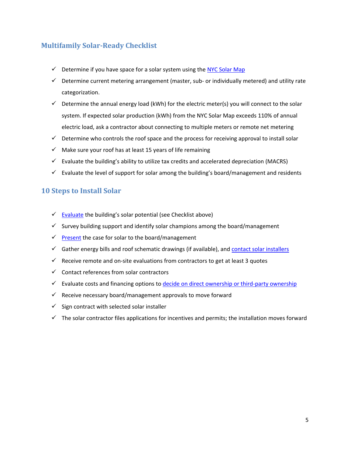## <span id="page-4-0"></span>**Multifamily Solar-Ready Checklist**

- $\checkmark$  Determine if you have space for a solar system using the [NYC Solar Map](http://nycsolarmap.com/)
- $\checkmark$  Determine current metering arrangement (master, sub- or individually metered) and utility rate categorization.
- $\checkmark$  Determine the annual energy load (kWh) for the electric meter(s) you will connect to the solar system. If expected solar production (kWh) from the NYC Solar Map exceeds 110% of annual electric load, ask a contractor about connecting to multiple meters or remote net metering
- $\checkmark$  Determine who controls the roof space and the process for receiving approval to install solar
- $\checkmark$  Make sure your roof has at least 15 years of life remaining
- $\checkmark$  Evaluate the building's ability to utilize tax credits and accelerated depreciation (MACRS)
- $\checkmark$  Evaluate the level of support for solar among the building's board/management and residents

## <span id="page-4-1"></span>**10 Steps to Install Solar**

- $\checkmark$  [Evaluate](#page-9-0) the building's solar potential (see Checklist above)
- $\checkmark$  Survey building support and identify solar champions among the board/management
- $\checkmark$  [Present](#page-22-0) the case for solar to the board/management
- $\checkmark$  Gather energy bills and roof schematic drawings (if available), and [contact solar installers](#page-22-2)
- $\checkmark$  Receive remote and on-site evaluations from contractors to get at least 3 quotes
- $\checkmark$  Contact references from solar contractors
- $\checkmark$  Evaluate costs and financing options to **decide on direct ownership or third-party ownership**
- $\checkmark$  Receive necessary board/management approvals to move forward
- $\checkmark$  Sign contract with selected solar installer
- $\checkmark$  The solar contractor files applications for incentives and permits; the installation moves forward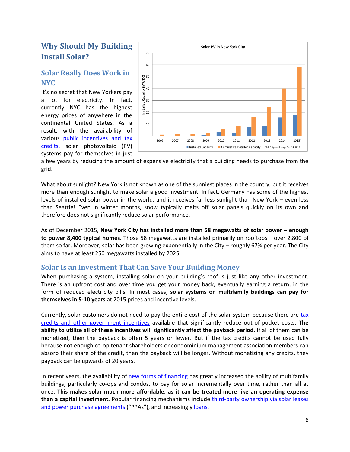# <span id="page-5-0"></span>**Why Should My Building Install Solar?**

## <span id="page-5-1"></span>**Solar Really Does Work in NYC**

It's no secret that New Yorkers pay a lot for electricity. In fact, currently NYC has the highest energy prices of anywhere in the continental United States. As a result, with the availability of various public incentives and tax [credits,](#page-16-0) solar photovoltaic (PV) systems pay for themselves in just



a few years by reducing the amount of expensive electricity that a building needs to purchase from the grid.

What about sunlight? New York is not known as one of the sunniest places in the country, but it receives more than enough sunlight to make solar a good investment. In fact, Germany has some of the highest levels of installed solar power in the world, and it receives far less sunlight than New York – even less than Seattle! Even in winter months, snow typically melts off solar panels quickly on its own and therefore does not significantly reduce solar performance.

As of December 2015, **New York City has installed more than 58 megawatts of solar power – enough to power 8,400 typical homes**. Those 58 megawatts are installed primarily on rooftops – over 2,800 of them so far. Moreover, solar has been growing exponentially in the City – roughly 67% per year. The City aims to have at least 250 megawatts installed by 2025.

## <span id="page-5-2"></span>**Solar Is an Investment That Can Save Your Building Money**

When purchasing a system, installing solar on your building's roof is just like any other investment. There is an upfront cost and over time you get your money back, eventually earning a return, in the form of reduced electricity bills. In most cases, **solar systems on multifamily buildings can pay for themselves in 5-10 years** at 2015 prices and incentive levels.

Currently, solar customers do not need to pay the entire cost of the solar system because there are [tax](#page-16-0)  [credits and other government incentives](#page-16-0) available that significantly reduce out-of-pocket costs. **The ability to utilize all of these incentives will significantly affect the payback period**. If all of them can be monetized, then the payback is often 5 years or fewer. But if the tax credits cannot be used fully because not enough co-op tenant shareholders or condominium management association members can absorb their share of the credit, then the payback will be longer. Without monetizing any credits, they payback can be upwards of 20 years.

In recent years, the availability of [new forms of financing h](#page-18-0)as greatly increased the ability of multifamily buildings, particularly co-ops and condos, to pay for solar incrementally over time, rather than all at once. **This makes solar much more affordable, as it can be treated more like an operating expense than a capital investment.** Popular financing mechanisms include third-party [ownership via](#page-19-0) solar leases [and power purchase agreements](#page-19-0) ("PPAs"), and increasingly [loans.](#page-18-1)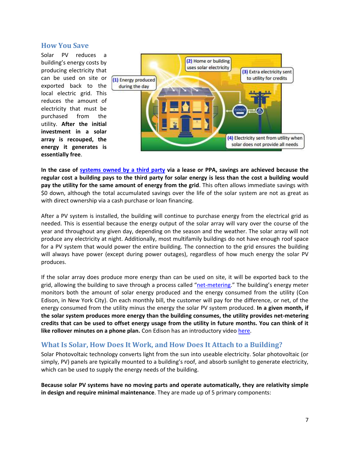#### <span id="page-6-0"></span>**How You Save**

Solar PV reduces a building's energy costs by producing electricity that can be used on site or exported back to the local electric grid. This reduces the amount of electricity that must be purchased from the utility. **After the initial investment in a solar array is recouped, the energy it generates is essentially free**.



**In the case of [systems owned by a third party](#page-19-0) via a lease or PPA, savings are achieved because the regular cost a building pays to the third party for solar energy is less than the cost a building would pay the utility for the same amount of energy from the grid**. This often allows immediate savings with \$0 down, although the total accumulated savings over the life of the solar system are not as great as with direct ownership via a cash purchase or loan financing.

After a PV system is installed, the building will continue to purchase energy from the electrical grid as needed. This is essential because the energy output of the solar array will vary over the course of the year and throughout any given day, depending on the season and the weather. The solar array will not produce any electricity at night. Additionally, most multifamily buildings do not have enough roof space for a PV system that would power the entire building. The connection to the grid ensures the building will always have power (except during power outages), regardless of how much energy the solar PV produces.

If the solar array does produce more energy than can be used on site, it will be exported back to the grid, allowing the building to save through a process called "[net-metering.](http://www.cuny.edu/about/resources/sustainability/solar-america/installer-resources/CommercialNYSNetMeteringFAQ.pdf)" The building's energy meter monitors both the amount of solar energy produced and the energy consumed from the utility (Con Edison, in New York City). On each monthly bill, the customer will pay for the difference, or net, of the energy consumed from the utility minus the energy the solar PV system produced. **In a given month, if the solar system produces more energy than the building consumes, the utility provides net-metering credits that can be used to offset energy usage from the utility in future months. You can think of it like rollover minutes on a phone plan.** Con Edison has an introductory video [here.](http://www.coned.com/dg/solarenergy/)

## <span id="page-6-1"></span>**What Is Solar, How Does It Work, and How Does It Attach to a Building?**

Solar Photovoltaic technology converts light from the sun into useable electricity. Solar photovoltaic (or simply, PV) panels are typically mounted to a building's roof, and absorb sunlight to generate electricity, which can be used to supply the energy needs of the building.

**Because solar PV systems have no moving parts and operate automatically, they are relativity simple in design and require minimal maintenance**. They are made up of 5 primary components: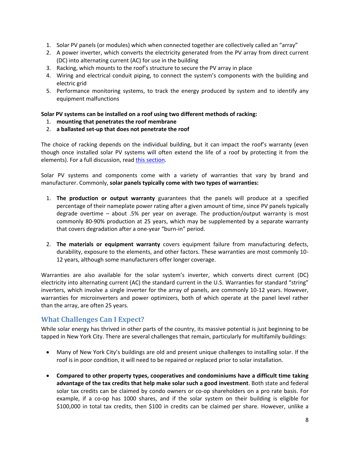- 1. Solar PV panels (or modules) which when connected together are collectively called an "array"
- 2. A power inverter, which converts the electricity generated from the PV array from direct current (DC) into alternating current (AC) for use in the building
- 3. Racking, which mounts to the roof's structure to secure the PV array in place
- 4. Wiring and electrical conduit piping, to connect the system's components with the building and electric grid
- 5. Performance monitoring systems, to track the energy produced by system and to identify any equipment malfunctions

#### **Solar PV systems can be installed on a roof using two different methods of racking:**

- 1. **mounting that penetrates the roof membrane**
- 2. **a ballasted set-up that does not penetrate the roof**

The choice of racking depends on the individual building, but it can impact the roof's warranty (even though once installed solar PV systems will often extend the life of a roof by protecting it from the elements). For a full discussion, read [this section.](#page-12-0)

Solar PV systems and components come with a variety of warranties that vary by brand and manufacturer. Commonly, **solar panels typically come with two types of warranties:**

- 1. **The production or output warranty** guarantees that the panels will produce at a specified percentage of their nameplate power rating after a given amount of time, since PV panels typically degrade overtime – about .5% per year on average. The production/output warranty is most commonly 80-90% production at 25 years, which may be supplemented by a separate warranty that covers degradation after a one-year "burn-in" period.
- 2. **The materials or equipment warranty** covers equipment failure from manufacturing defects, durability, exposure to the elements, and other factors. These warranties are most commonly 10- 12 years, although some manufacturers offer longer coverage.

Warranties are also available for the solar system's inverter, which converts direct current (DC) electricity into alternating current (AC) the standard current in the U.S. Warranties for standard "string" inverters, which involve a single inverter for the array of panels, are commonly 10-12 years. However, warranties for microinverters and power optimizers, both of which operate at the panel level rather than the array, are often 25 years.

## <span id="page-7-0"></span>**What Challenges Can I Expect?**

While solar energy has thrived in other parts of the country, its massive potential is just beginning to be tapped in New York City. There are several challenges that remain, particularly for multifamily buildings:

- Many of New York City's buildings are old and present unique challenges to installing solar. If the roof is in poor condition, it will need to be repaired or replaced prior to solar installation.
- **Compared to other property types, cooperatives and condominiums have a difficult time taking advantage of the tax credits that help make solar such a good investment**. Both state and federal solar tax credits can be claimed by condo owners or co-op shareholders on a pro rate basis. For example, if a co-op has 1000 shares, and if the solar system on their building is eligible for \$100,000 in total tax credits, then \$100 in credits can be claimed per share. However, unlike a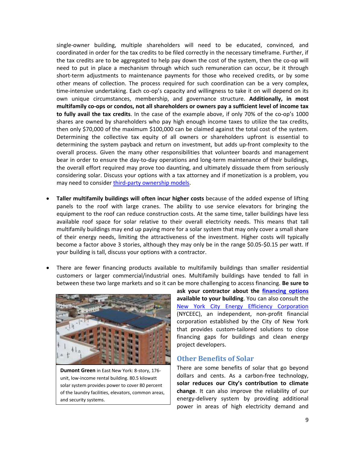single-owner building, multiple shareholders will need to be educated, convinced, and coordinated in order for the tax credits to be filed correctly in the necessary timeframe. Further, if the tax credits are to be aggregated to help pay down the cost of the system, then the co-op will need to put in place a mechanism through which such remuneration can occur, be it through short-term adjustments to maintenance payments for those who received credits, or by some other means of collection. The process required for such coordination can be a very complex, time-intensive undertaking. Each co-op's capacity and willingness to take it on will depend on its own unique circumstances, membership, and governance structure. **Additionally, in most multifamily co-ops or condos, not all shareholders or owners pay a sufficient level of income tax to fully avail the tax credits**. In the case of the example above, if only 70% of the co-op's 1000 shares are owned by shareholders who pay high enough income taxes to utilize the tax credits, then only \$70,000 of the maximum \$100,000 can be claimed against the total cost of the system. Determining the collective tax equity of all owners or shareholders upfront is essential to determining the system payback and return on investment, but adds up-front complexity to the overall process. Given the many other responsibilities that volunteer boards and management bear in order to ensure the day-to-day operations and long-term maintenance of their buildings, the overall effort required may prove too daunting, and ultimately dissuade them from seriously considering solar. Discuss your options with a tax attorney and if monetization is a problem, you may need to consider [third-party ownership models.](#page-19-0)

- **Taller multifamily buildings will often incur higher costs** because of the added expense of lifting panels to the roof with large cranes. The ability to use service elevators for bringing the equipment to the roof can reduce construction costs. At the same time, taller buildings have less available roof space for solar relative to their overall electricity needs. This means that tall multifamily buildings may end up paying more for a solar system that may only cover a small share of their energy needs, limiting the attractiveness of the investment. Higher costs will typically become a factor above 3 stories, although they may only be in the range \$0.05-\$0.15 per watt. If your building is tall, discuss your options with a contractor.
- There are fewer financing products available to multifamily buildings than smaller residential customers or larger commercial/industrial ones. Multifamily buildings have tended to fall in between these two large markets and so it can be more challenging to access financing. **Be sure to**



**Dumont Green** in East New York: 8-story, 176 unit, low-income rental building. 80.5 kilowatt solar system provides power to cover 80 percent of the laundry facilities, elevators, common areas, and security systems.

**ask your contractor about the [financing options](#page-18-0) available to your building**. You can also consult the [New York City Energy Efficiency Corporation](http://nyceec.com/) (NYCEEC), an independent, non-profit financial corporation established by the City of New York that provides custom-tailored solutions to close financing gaps for buildings and clean energy project developers.

#### <span id="page-8-0"></span>**Other Benefits of Solar**

There are some benefits of solar that go beyond dollars and cents. As a carbon-free technology, **solar reduces our City's contribution to climate change**. It can also improve the reliability of our energy-delivery system by providing additional power in areas of high electricity demand and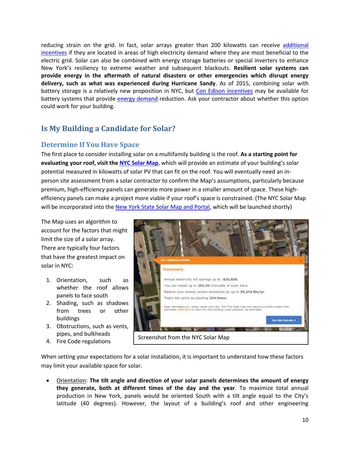reducing strain on the grid. In fact, solar arrays greater than 200 kilowatts can receive [additional](http://www.cuny.edu/about/resources/sustainability/solar-america/sez.html)  [incentives](http://www.cuny.edu/about/resources/sustainability/solar-america/sez.html) if they are located in areas of high electricity demand where they are most beneficial to the electric grid. Solar can also be combined with energy storage batteries or special inverters to enhance New York's resiliency to extreme weather and subsequent blackouts. **Resilient solar systems can provide energy in the aftermath of natural disasters or other emergencies which disrupt energy delivery, such as what was experienced during Hurricane Sandy**. As of 2015, combining solar with battery storage is a relatively new proposition in NYC, but [Con Edison incentives](http://www.coned.com/energyefficiency/demand_management_incentives.asp) may be available for battery systems that provide [energy demand](#page-11-2) reduction. Ask your contractor about whether this option could work for your building.

## <span id="page-9-0"></span>**Is My Building a Candidate for Solar?**

## <span id="page-9-1"></span>**Determine If You Have Space**

The first place to consider installing solar on a multifamily building is the roof. **As a starting point for evaluating your roof, visit the [NYC Solar Map](http://www.nycsolarmap.com/)**, which will provide an estimate of your building's solar potential measured in kilowatts of solar PV that can fit on the roof. You will eventually need an inperson site assessment from a solar contractor to confirm the Map's assumptions, particularly because premium, high-efficiency panels can generate more power in a smaller amount of space. These highefficiency panels can make a project more viable if your roof's space is constrained. (The NYC Solar Map will be incorporated into the [New York State Solar Map and Portal,](http://www.nysolarmap.com/) which will be launched shortly)

The Map uses an algorithm to account for the factors that might limit the size of a solar array. There are typically four factors that have the greatest impact on solar in NYC:

- 1. Orientation, such as whether the roof allows panels to face south
- 2. Shading, such as shadows from trees or other buildings
- 3. Obstructions, such as vents, pipes, and bulkheads
- 4. Fire Code regulations



When setting your expectations for a solar installation, it is important to understand how these factors may limit your available space for solar.

 Orientation: **The tilt angle and direction of your solar panels determines the amount of energy they generate, both at different times of the day and the year**. To maximize total annual production in New York, panels would be oriented South with a tilt angle equal to the City's latitude (40 degrees). However, the layout of a building's roof and other engineering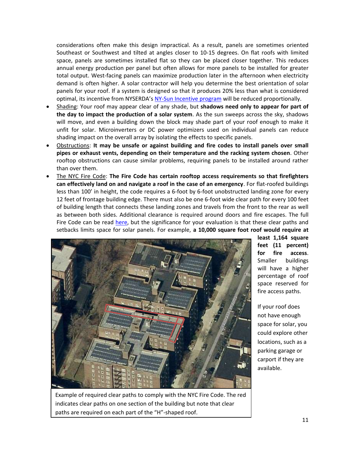considerations often make this design impractical. As a result, panels are sometimes oriented Southeast or Southwest and tilted at angles closer to 10-15 degrees. On flat roofs with limited space, panels are sometimes installed flat so they can be placed closer together. This reduces annual energy production per panel but often allows for more panels to be installed for greater total output. West-facing panels can maximize production later in the afternoon when electricity demand is often higher. A solar contractor will help you determine the best orientation of solar panels for your roof. If a system is designed so that it produces 20% less than what is considered optimal, its incentive from NYSERDA's [NY-Sun Incentive program](#page-16-2) will be reduced proportionally.

- Shading: Your roof may appear clear of any shade, but **shadows need only to appear for part of the day to impact the production of a solar system**. As the sun sweeps across the sky, shadows will move, and even a building down the block may shade part of your roof enough to make it unfit for solar. Microinverters or DC power optimizers used on individual panels can reduce shading impact on the overall array by isolating the effects to specific panels.
- Obstructions: **It may be unsafe or against building and fire codes to install panels over small pipes or exhaust vents, depending on their temperature and the racking system chosen**. Other rooftop obstructions can cause similar problems, requiring panels to be installed around rather than over them.
- The NYC Fire Code: **The Fire Code has certain rooftop access requirements so that firefighters can effectively land on and navigate a roof in the case of an emergency**. For flat-roofed buildings less than 100' in height, the code requires a 6-foot by 6-foot unobstructed landing zone for every 12 feet of frontage building edge. There must also be one 6-foot wide clear path for every 100 feet of building length that connects these landing zones and travels from the front to the rear as well as between both sides. Additional clearance is required around doors and fire escapes. The full Fire Code can be read [here,](http://www.nyc.gov/html/fdny/apps/pdf_viewer/viewer.html?file=firecode_chap_05.pdf§ion=firecode_2014) but the significance for your evaluation is that these clear paths and setbacks limits space for solar panels. For example, **a 10,000 square foot roof would require at**



**least 1,164 square feet (11 percent) for fire access**. Smaller buildings will have a higher percentage of roof space reserved for fire access paths.

If your roof does not have enough space for solar, you could explore other locations, such as a parking garage or carport if they are available.

Example of required clear paths to comply with the NYC Fire Code. The red indicates clear paths on one section of the building but note that clear paths are required on each part of the "H"-shaped roof.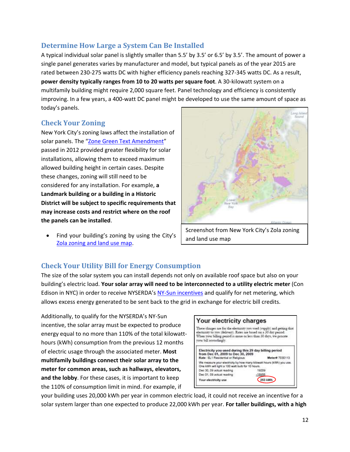## <span id="page-11-0"></span>**Determine How Large a System Can Be Installed**

A typical individual solar panel is slightly smaller than 5.5' by 3.5' or 6.5' by 3.5'. The amount of power a single panel generates varies by manufacturer and model, but typical panels as of the year 2015 are rated between 230-275 watts DC with higher efficiency panels reaching 327-345 watts DC. As a result, **power density typically ranges from 10 to 20 watts per square foot**. A 30-kilowatt system on a multifamily building might require 2,000 square feet. Panel technology and efficiency is consistently improving. In a few years, a 400-watt DC panel might be developed to use the same amount of space as today's panels.

## <span id="page-11-1"></span>**Check Your Zoning**

New York City's zoning laws affect the installation of solar panels. The "[Zone Green Text Amendment](http://www.nyc.gov/html/dcp/html/greenbuildings/index.shtml)" passed in 2012 provided greater flexibility for solar installations, allowing them to exceed maximum allowed building height in certain cases. Despite these changes, zoning will still need to be considered for any installation. For example, **a Landmark building or a building in a Historic District will be subject to specific requirements that may increase costs and restrict where on the roof the panels can be installed**.

 Find your building's zoning by using the City's [Zola zoning and land use map.](http://maps.nyc.gov/doitt/nycitymap/template?applicationName=ZOLA)



and land use map

## <span id="page-11-2"></span>**Check Your Utility Bill for Energy Consumption**

The size of the solar system you can install depends not only on available roof space but also on your building's electric load. **Your solar array will need to be interconnected to a utility electric meter** (Con Edison in NYC) in order to receive NYSERDA's [NY-Sun incentives](#page-16-2) and qualify for net metering, which allows excess energy generated to be sent back to the grid in exchange for electric bill credits.

Additionally, to qualify for the NYSERDA's NY-Sun incentive, the solar array must be expected to produce energy equal to no more than 110% of the total kilowatthours (kWh) consumption from the previous 12 months of electric usage through the associated meter. **Most multifamily buildings connect their solar array to the meter for common areas, such as hallways, elevators, and the lobby**. For these cases, it is important to keep the 110% of consumption limit in mind. For example, if



your building uses 20,000 kWh per year in common electric load, it could not receive an incentive for a solar system larger than one expected to produce 22,000 kWh per year. **For taller buildings, with a high**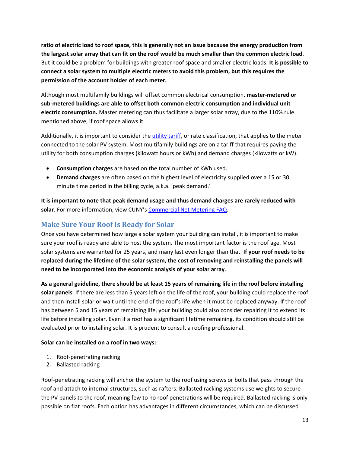**ratio of electric load to roof space, this is generally not an issue because the energy production from the largest solar array that can fit on the roof would be much smaller than the common electric load**. But it could be a problem for buildings with greater roof space and smaller electric loads. **It is possible to connect a solar system to multiple electric meters to avoid this problem, but this requires the permission of the account holder of each meter.**

Although most multifamily buildings will offset common electrical consumption, **master-metered or sub-metered buildings are able to offset both common electric consumption and individual unit electric consumption.** Master metering can thus facilitate a larger solar array, due to the 110% rule mentioned above, if roof space allows it.

Additionally, it is important to consider the *utility tariff*, or rate classification, that applies to the meter connected to the solar PV system. Most multifamily buildings are on a tariff that requires paying the utility for both consumption charges (kilowatt hours or kWh) and demand charges (kilowatts or kW).

- **Consumption charges** are based on the total number of kWh used.
- **Demand charges** are often based on the highest level of electricity supplied over a 15 or 30 minute time period in the billing cycle, a.k.a. 'peak demand.'

**It is important to note that peak demand usage and thus demand charges are rarely reduced with solar**. For more information, view CUNY's [Commercial Net Metering FAQ.](http://www.cuny.edu/about/resources/sustainability/solar-america/installer-resources/CommercialNYSNetMeteringFAQ.pdf)

## <span id="page-12-0"></span>**Make Sure Your Roof Is Ready for Solar**

Once you have determined how large a solar system your building can install, it is important to make sure your roof is ready and able to host the system. The most important factor is the roof age. Most solar systems are warranted for 25 years, and many last even longer than that. **If your roof needs to be replaced during the lifetime of the solar system, the cost of removing and reinstalling the panels will need to be incorporated into the economic analysis of your solar array**.

**As a general guideline, there should be at least 15 years of remaining life in the roof before installing solar panels**. If there are less than 5 years left on the life of the roof, your building could replace the roof and then install solar or wait until the end of the roof's life when it must be replaced anyway. If the roof has between 5 and 15 years of remaining life, your building could also consider repairing it to extend its life before installing solar. Even if a roof has a significant lifetime remaining, its condition should still be evaluated prior to installing solar. It is prudent to consult a roofing professional.

#### **Solar can be installed on a roof in two ways:**

- 1. Roof-penetrating racking
- 2. Ballasted racking

Roof-penetrating racking will anchor the system to the roof using screws or bolts that pass through the roof and attach to internal structures, such as rafters. Ballasted racking systems use weights to secure the PV panels to the roof, meaning few to no roof penetrations will be required. Ballasted racking is only possible on flat roofs. Each option has advantages in different circumstances, which can be discussed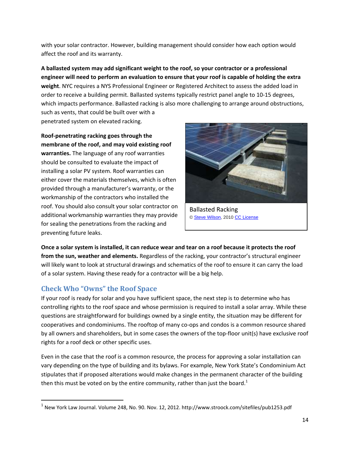with your solar contractor. However, building management should consider how each option would affect the roof and its warranty.

**A ballasted system may add significant weight to the roof, so your contractor or a professional engineer will need to perform an evaluation to ensure that your roof is capable of holding the extra weight**. NYC requires a NYS Professional Engineer or Registered Architect to assess the added load in order to receive a building permit. Ballasted systems typically restrict panel angle to 10-15 degrees, which impacts performance. Ballasted racking is also more challenging to arrange around obstructions, such as vents, that could be built over with a penetrated system on elevated racking.

**Roof-penetrating racking goes through the membrane of the roof, and may void existing roof warranties.** The language of any roof warranties should be consulted to evaluate the impact of installing a solar PV system. Roof warranties can either cover the materials themselves, which is often provided through a manufacturer's warranty, or the workmanship of the contractors who installed the roof. You should also consult your solar contractor on additional workmanship warranties they may provide for sealing the penetrations from the racking and preventing future leaks.



Ballasted Racking [© Steve Wilson,](https://www.flickr.com/photos/steve-wilson/4465111245/in/photolist-7NyS1D-7NyS8R) 2010 [CC License](https://creativecommons.org/licenses/by-nc/2.0/)

**Once a solar system is installed, it can reduce wear and tear on a roof because it protects the roof from the sun, weather and elements.** Regardless of the racking, your contractor's structural engineer will likely want to look at structural drawings and schematics of the roof to ensure it can carry the load of a solar system. Having these ready for a contractor will be a big help.

## <span id="page-13-0"></span>**Check Who "Owns" the Roof Space**

 $\overline{\phantom{a}}$ 

If your roof is ready for solar and you have sufficient space, the next step is to determine who has controlling rights to the roof space and whose permission is required to install a solar array. While these questions are straightforward for buildings owned by a single entity, the situation may be different for cooperatives and condominiums. The rooftop of many co-ops and condos is a common resource shared by all owners and shareholders, but in some cases the owners of the top-floor unit(s) have exclusive roof rights for a roof deck or other specific uses.

Even in the case that the roof is a common resource, the process for approving a solar installation can vary depending on the type of building and its bylaws. For example, New York State's Condominium Act stipulates that if proposed alterations would make changes in the permanent character of the building then this must be voted on by the entire community, rather than just the board.<sup>1</sup>

 $^{\text{1}}$  New York Law Journal. Volume 248, No. 90. Nov. 12, 2012. http://www.stroock.com/sitefiles/pub1253.pdf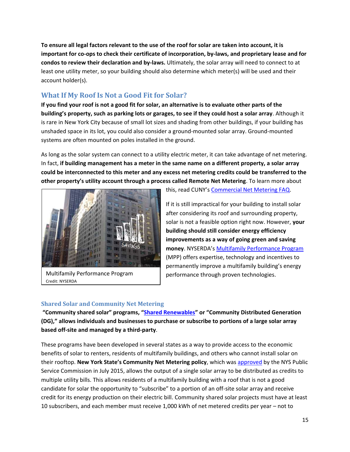**To ensure all legal factors relevant to the use of the roof for solar are taken into account, it is important for co-ops to check their certificate of incorporation, by-laws, and proprietary lease and for condos to review their declaration and by-laws.** Ultimately, the solar array will need to connect to at least one utility meter, so your building should also determine which meter(s) will be used and their account holder(s).

## <span id="page-14-0"></span>**What If My Roof Is Not a Good Fit for Solar?**

**If you find your roof is not a good fit for solar, an alternative is to evaluate other parts of the building's property, such as parking lots or garages, to see if they could host a solar array**. Although it is rare in New York City because of small lot sizes and shading from other buildings, if your building has unshaded space in its lot, you could also consider a ground-mounted solar array. Ground-mounted systems are often mounted on poles installed in the ground.

As long as the solar system can connect to a utility electric meter, it can take advantage of net metering. In fact, **if building management has a meter in the same name on a different property, a solar array could be interconnected to this meter and any excess net metering credits could be transferred to the other property's utility account through a process called Remote Net Metering**. To learn more about



Multifamily Performance Program Credit: NYSERDA

this, read CUNY's [Commercial Net Metering FAQ.](http://www.cuny.edu/about/resources/sustainability/solar-america/installer-resources/CommercialNYSNetMeteringFAQ.pdf)

If it is still impractical for your building to install solar after considering its roof and surrounding property, solar is not a feasible option right now. However, **your building should still consider energy efficiency improvements as a way of going green and saving money**. NYSERDA's [Multifamily Performance Program](http://www.nyserda.ny.gov/Energy-Efficiency-and-Renewable-Programs/Multifamily-Performance-Program/Multifamily-Performance-Program.aspx) (MPP) offers expertise, technology and incentives to permanently improve a multifamily building's energy performance through proven technologies.

#### **Shared Solar and Community Net Metering**

**"Community shared solar" programs, "[Shared Renewables](http://ny-sun.ny.gov/Get-Solar/Community-Solar)" or "Community Distributed Generation (DG)," allows individuals and businesses to purchase or subscribe to portions of a large solar array based off-site and managed by a third-party**.

These programs have been developed in several states as a way to provide access to the economic benefits of solar to renters, residents of multifamily buildings, and others who cannot install solar on their rooftop. **New York State's Community Net Metering policy**, which was [approved](http://documents.dps.ny.gov/public/Common/ViewDoc.aspx?DocRefId=%7b76520435-25ED-4B84-8477-6433CE88DA86%7d) by the NYS Public Service Commission in July 2015, allows the output of a single solar array to be distributed as credits to multiple utility bills. This allows residents of a multifamily building with a roof that is not a good candidate for solar the opportunity to "subscribe" to a portion of an off-site solar array and receive credit for its energy production on their electric bill. Community shared solar projects must have at least 10 subscribers, and each member must receive 1,000 kWh of net metered credits per year – not to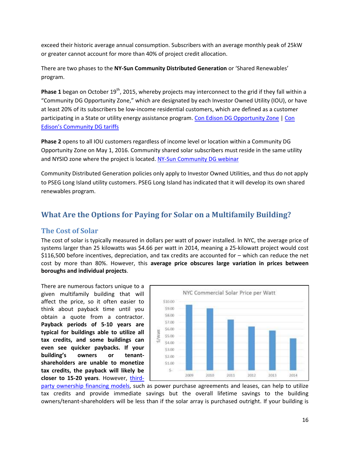exceed their historic average annual consumption. Subscribers with an average monthly peak of 25kW or greater cannot account for more than 40% of project credit allocation.

There are two phases to the **NY-Sun Community Distributed Generation** or 'Shared Renewables' program.

**Phase 1** began on October 19<sup>th</sup>, 2015, whereby projects may interconnect to the grid if they fall within a "Community DG Opportunity Zone," which are designated by each Investor Owned Utility (IOU), or have at least 20% of its subscribers be low-income residential customers, which are defined as a customer participating in a State or utility energy assistance program[. Con Edison DG Opportunity Zone](http://www.arcgis.com/home/webmap/viewer.html?webmap=40f8947e9f2e4536bc546cc5e8e726d4&extent=-74.9425,40.4958,-72.9142,41.3353) | Con [Edison's Community DG tariffs](https://www2.dps.ny.gov/ETS/search/searchSubmissionID.cfm?sub_id=2783699)

**Phase 2** opens to all IOU customers regardless of income level or location within a Community DG Opportunity Zone on May 1, 2016. Community shared solar subscribers must reside in the same utility and NYSIO zone where the project is located. [NY-Sun Community DG webinar](http://ny-sun.ny.gov/About/Stakeholder-Meetings)

Community Distributed Generation policies only apply to Investor Owned Utilities, and thus do not apply to PSEG Long Island utility customers. PSEG Long Island has indicated that it will develop its own shared renewables program.

## <span id="page-15-0"></span>**What Are the Options for Paying for Solar on a Multifamily Building?**

### <span id="page-15-1"></span>**The Cost of Solar**

The cost of solar is typically measured in dollars per watt of power installed. In NYC, the average price of systems larger than 25 kilowatts was \$4.66 per watt in 2014, meaning a 25-kilowatt project would cost \$116,500 before incentives, depreciation, and tax credits are accounted for – which can reduce the net cost by more than 80%. However, this **average price obscures large variation in prices between boroughs and individual projects**.

There are numerous factors unique to a given multifamily building that will affect the price, so it often easier to think about payback time until you obtain a quote from a contractor. **Payback periods of 5-10 years are typical for buildings able to utilize all tax credits, and some buildings can even see quicker paybacks. If your building's owners or tenantshareholders are unable to monetize tax credits, the payback will likely be closer to 15-20 years**. However, [third-](#page-19-0)



[party ownership](#page-19-0) financing models, such as power purchase agreements and leases, can help to utilize tax credits and provide immediate savings but the overall lifetime savings to the building owners/tenant-shareholders will be less than if the solar array is purchased outright. If your building is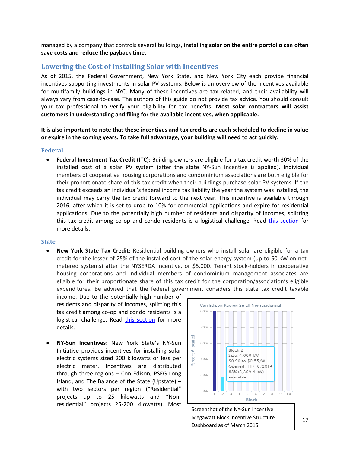managed by a company that controls several buildings, **installing solar on the entire portfolio can often save costs and reduce the payback time.**

#### <span id="page-16-0"></span>**Lowering the Cost of Installing Solar with Incentives**

As of 2015, the Federal Government, New York State, and New York City each provide financial incentives supporting investments in solar PV systems. Below is an overview of the incentives available for multifamily buildings in NYC. Many of these incentives are tax related, and their availability will always vary from case-to-case. The authors of this guide do not provide tax advice. You should consult your tax professional to verify your eligibility for tax benefits. **Most solar contractors will assist customers in understanding and filing for the available incentives, when applicable.**

#### **It is also important to note that these incentives and tax credits are each scheduled to decline in value or expire in the coming years. To take full advantage, your building will need to act quickly.**

#### <span id="page-16-1"></span>**Federal**

 **Federal Investment Tax Credit (ITC):** Building owners are eligible for a tax credit worth 30% of the installed cost of a solar PV system (after the state NY-Sun Incentive is applied). Individual members of cooperative housing corporations and condominium associations are both eligible for their proportionate share of this tax credit when their buildings purchase solar PV systems. If the tax credit exceeds an individual's federal income tax liability the year the system was installed, the individual may carry the tax credit forward to the next year. This incentive is available through 2016, after which it is set to drop to 10% for commercial applications and expire for residential applications. Due to the potentially high number of residents and disparity of incomes, splitting this tax credit among co-op and condo residents is a logistical challenge. Read [this section](#page-7-0) for more details.

#### <span id="page-16-2"></span>**State**

 **New York State Tax Credit:** Residential building owners who install solar are eligible for a tax credit for the lesser of 25% of the installed cost of the solar energy system (up to 50 kW on netmetered systems) after the NYSERDA incentive, or \$5,000. Tenant stock-holders in cooperative housing corporations and individual members of condominium management associates are eligible for their proportionate share of this tax credit for the corporation/association's eligible expenditures. Be advised that the federal government considers this state tax credit taxable

income. Due to the potentially high number of residents and disparity of incomes, splitting this tax credit among co-op and condo residents is a logistical challenge. Read [this section](#page-7-0) for more details.

 **NY-Sun Incentives:** New York State's NY-Sun Initiative provides incentives for installing solar electric systems sized 200 kilowatts or less per electric meter. Incentives are distributed through three regions – Con Edison, PSEG Long Island, and The Balance of the State (Upstate) – with two sectors per region ("Residential" projects up to 25 kilowatts and "Nonresidential" projects 25-200 kilowatts). Most



Megawatt Block Incentive Structure Dashboard as of March 2015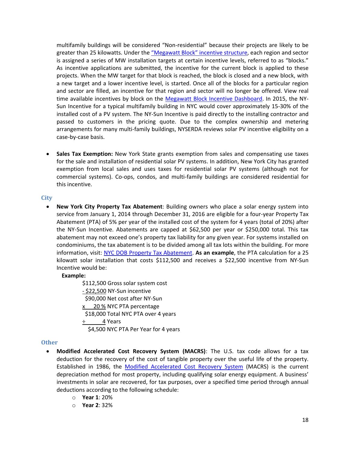multifamily buildings will be considered "Non-residential" because their projects are likely to be greater than 25 kilowatts. Under the "Megawatt Block" [incentive structure,](http://ny-sun.ny.gov/For-Installers/Megawatt-Block-Incentive-Structure) each region and sector is assigned a series of MW installation targets at certain incentive levels, referred to as "blocks." As incentive applications are submitted, the incentive for the current block is applied to these projects. When the MW target for that block is reached, the block is closed and a new block, with a new target and a lower incentive level, is started. Once all of the blocks for a particular region and sector are filled, an incentive for that region and sector will no longer be offered. View real time available incentives by block on the [Megawatt Block Incentive Dashboard.](http://ny-sun.ny.gov/For-Installers/Megawatt-Block-Incentive-Structure) In 2015, the NY-Sun Incentive for a typical multifamily building in NYC would cover approximately 15-30% of the installed cost of a PV system. The NY-Sun Incentive is paid directly to the installing contractor and passed to customers in the pricing quote. Due to the complex ownership and metering arrangements for many multi-family buildings, NYSERDA reviews solar PV incentive eligibility on a case-by-case basis.

 **Sales Tax Exemption:** New York State grants exemption from sales and compensating use taxes for the sale and installation of residential solar PV systems. In addition, New York City has granted exemption from local sales and uses taxes for residential solar PV systems (although not for commercial systems). Co-ops, condos, and multi-family buildings are considered residential for this incentive.

#### <span id="page-17-0"></span>**City**

 **New York City Property Tax Abatement**: Building owners who place a solar energy system into service from January 1, 2014 through December 31, 2016 are eligible for a four-year Property Tax Abatement (PTA) of 5% per year of the installed cost of the system for 4 years (total of 20%) after the NY-Sun Incentive. Abatements are capped at \$62,500 per year or \$250,000 total. This tax abatement may not exceed one's property tax liability for any given year. For systems installed on condominiums, the tax abatement is to be divided among all tax lots within the building. For more information, visit: [NYC DOB Property Tax Abatement.](http://www.nyc.gov/html/dob/html/sustainability/solar_panels.shtml) **As an example**, the PTA calculation for a 25 kilowatt solar installation that costs \$112,500 and receives a \$22,500 incentive from NY-Sun Incentive would be:

#### **Example:**

\$112,500 Gross solar system cost - \$22,500 NY-Sun incentive \$90,000 Net cost after NY-Sun x 20 % NYC PTA percentage \$18,000 Total NYC PTA over 4 years ÷ 4 Years \$4,500 NYC PTA Per Year for 4 years

#### <span id="page-17-1"></span>**Other**

- **Modified Accelerated Cost Recovery System (MACRS)**: The U.S. tax code allows for a tax deduction for the recovery of the cost of tangible property over the useful life of the property. Established in 1986, the [Modified Accelerated Cost Recovery System](http://www.seia.org/policy/finance-tax/depreciation-solar-energy-property-macrs) (MACRS) is the current depreciation method for most property, including qualifying solar energy equipment. A business' investments in solar are recovered, for tax purposes, over a specified time period through annual deductions according to the following schedule:
	- o **Year 1**: 20%
	- o **Year 2**: 32%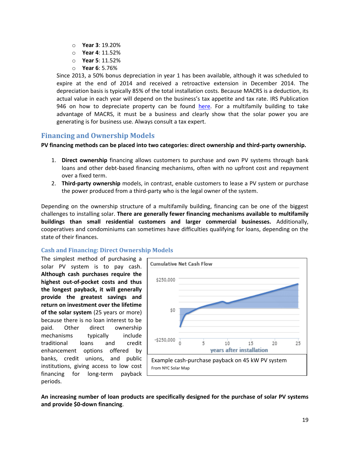- o **Year 3**: 19.20%
- o **Year 4**: 11.52%
- o **Year 5**: 11.52%
- o **Year 6**: 5.76%

Since 2013, a 50% bonus depreciation in year 1 has been available, although it was scheduled to expire at the end of 2014 and received a retroactive extension in December 2014. The depreciation basis is typically 85% of the total installation costs. Because MACRS is a deduction, its actual value in each year will depend on the business's tax appetite and tax rate. IRS Publication 946 on how to depreciate property can be found [here.](http://apps.irs.gov/app/picklist/list/formsPublications.html;jsessionid=WWKhVVAu65hix9qbL1YNAg__?indexOfFirstRow=225&sortColumn=sortOrder&value=&criteria=&resultsPerPage=25&isDescending=false) For a multifamily building to take advantage of MACRS, it must be a business and clearly show that the solar power you are generating is for business use. Always consult a tax expert.

## <span id="page-18-0"></span>**Financing and Ownership Models**

**PV financing methods can be placed into two categories: direct ownership and third-party ownership.**

- 1. **Direct ownership** financing allows customers to purchase and own PV systems through bank loans and other debt-based financing mechanisms, often with no upfront cost and repayment over a fixed term.
- 2. **Third-party ownership** models, in contrast, enable customers to lease a PV system or purchase the power produced from a third-party who is the legal owner of the system.

Depending on the ownership structure of a multifamily building, financing can be one of the biggest challenges to installing solar. **There are generally fewer financing mechanisms available to multifamily buildings than small residential customers and larger commercial businesses.** Additionally, cooperatives and condominiums can sometimes have difficulties qualifying for loans, depending on the state of their finances.

#### <span id="page-18-1"></span>**Cash and Financing: Direct Ownership Models**

The simplest method of purchasing a solar PV system is to pay cash. **Although cash purchases require the highest out-of-pocket costs and thus the longest payback, it will generally provide the greatest savings and return on investment over the lifetime of the solar system** (25 years or more) because there is no loan interest to be paid. Other direct ownership mechanisms typically include traditional loans and credit enhancement options offered by banks, credit unions, and public institutions, giving access to low cost financing for long-term payback periods.



**An increasing number of loan products are specifically designed for the purchase of solar PV systems and provide \$0-down financing**.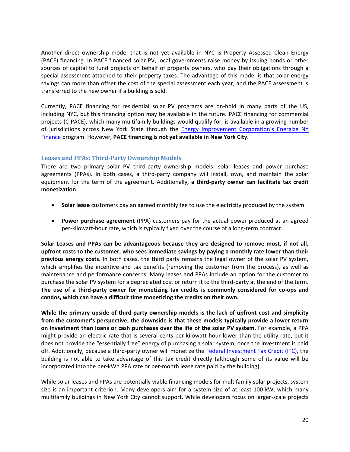Another direct ownership model that is not yet available in NYC is Property Assessed Clean Energy (PACE) financing. In PACE financed solar PV, local governments raise money by issuing bonds or other sources of capital to fund projects on behalf of property owners, who pay their obligations through a special assessment attached to their property taxes. The advantage of this model is that solar energy savings can more than offset the cost of the special assessment each year, and the PACE assessment is transferred to the new owner if a building is sold.

Currently, PACE financing for residential solar PV programs are on-hold in many parts of the US, including NYC, but this financing option may be available in the future. PACE financing for commercial projects (C-PACE), which many multifamily buildings would qualify for, is available in a growing number of jurisdictions across New York State through the [Energy Improvement Corporation's Energize NY](http://commercial.energizeny.org/energize-ny-finance)  [Finance](http://commercial.energizeny.org/energize-ny-finance) program. However, **PACE financing is not yet available in New York City**.

#### <span id="page-19-0"></span>**Leases and PPAs: Third-Party Ownership Models**

There are two primary solar PV third-party ownership models: solar leases and power purchase agreements (PPAs). In both cases, a third-party company will install, own, and maintain the solar equipment for the term of the agreement. Additionally, **a third-party owner can facilitate tax credit monetization**.

- **Solar lease** customers pay an agreed monthly fee to use the electricity produced by the system.
- **Power purchase agreement** (PPA) customers pay for the actual power produced at an agreed per-kilowatt-hour rate, which is typically fixed over the course of a long-term contract.

**Solar Leases and PPAs can be advantageous because they are designed to remove most, if not all, upfront costs to the customer, who sees immediate savings by paying a monthly rate lower than their previous energy costs**. In both cases, the third party remains the legal owner of the solar PV system, which simplifies the incentive and tax benefits (removing the customer from the process), as well as maintenance and performance concerns. Many leases and PPAs include an option for the customer to purchase the solar PV system for a depreciated cost or return it to the third-party at the end of the term. **The use of a third-party owner for monetizing tax credits is commonly considered for co-ops and condos, which can have a difficult time monetizing the credits on their own.**

**While the primary upside of third-party ownership models is the lack of upfront cost and simplicity from the customer's perspective, the downside is that these models typically provide a lower return on investment than loans or cash purchases over the life of the solar PV system**. For example, a PPA might provide an electric rate that is several cents per kilowatt-hour lower than the utility rate, but it does not provide the "essentially free" energy of purchasing a solar system, once the investment is paid off. Additionally, because a third-party owner will monetize the [Federal Investment Tax Credit \(ITC\),](#page-16-1) the building is not able to take advantage of this tax credit directly (although some of its value will be incorporated into the per-kWh PPA rate or per-month lease rate paid by the building).

While solar leases and PPAs are potentially viable financing models for multifamily solar projects, system size is an important criterion. Many developers aim for a system size of at least 100 kW, which many multifamily buildings in New York City cannot support. While developers focus on larger-scale projects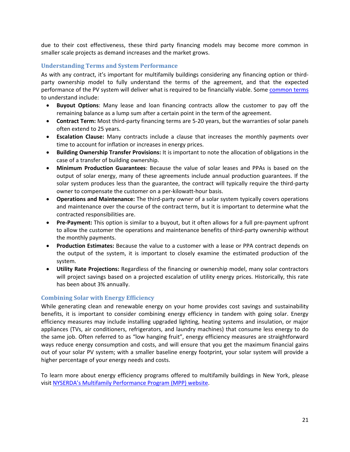due to their cost effectiveness, these third party financing models may become more common in smaller scale projects as demand increases and the market grows.

#### <span id="page-20-0"></span>**Understanding Terms and System Performance**

As with any contract, it's important for multifamily buildings considering any financing option or thirdparty ownership model to fully understand the terms of the agreement, and that the expected performance of the PV system will deliver what is required to be financially viable. Some [common terms](http://www.cesa.org/assets/2015-Files/Homeowners-Guide-to-Solar-Financing.pdf) to understand include:

- **Buyout Options**: Many lease and loan financing contracts allow the customer to pay off the remaining balance as a lump sum after a certain point in the term of the agreement.
- **Contract Term:** Most third-party financing terms are 5-20 years, but the warranties of solar panels often extend to 25 years.
- **Escalation Clause:** Many contracts include a clause that increases the monthly payments over time to account for inflation or increases in energy prices.
- **Building Ownership Transfer Provisions:** It is important to note the allocation of obligations in the case of a transfer of building ownership.
- **Minimum Production Guarantees**: Because the value of solar leases and PPAs is based on the output of solar energy, many of these agreements include annual production guarantees. If the solar system produces less than the guarantee, the contract will typically require the third-party owner to compensate the customer on a per-kilowatt-hour basis.
- **Operations and Maintenance:** The third-party owner of a solar system typically covers operations and maintenance over the course of the contract term, but it is important to determine what the contracted responsibilities are.
- **Pre-Payment:** This option is similar to a buyout, but it often allows for a full pre-payment upfront to allow the customer the operations and maintenance benefits of third-party ownership without the monthly payments.
- **Production Estimates:** Because the value to a customer with a lease or PPA contract depends on the output of the system, it is important to closely examine the estimated production of the system.
- **Utility Rate Projections:** Regardless of the financing or ownership model, many solar contractors will project savings based on a projected escalation of utility energy prices. Historically, this rate has been about 3% annually.

#### <span id="page-20-1"></span>**Combining Solar with Energy Efficiency**

While generating clean and renewable energy on your home provides cost savings and sustainability benefits, it is important to consider combining energy efficiency in tandem with going solar. Energy efficiency measures may include installing upgraded lighting, heating systems and insulation, or major appliances (TVs, air conditioners, refrigerators, and laundry machines) that consume less energy to do the same job. Often referred to as "low hanging fruit", energy efficiency measures are straightforward ways reduce energy consumption and costs, and will ensure that you get the maximum financial gains out of your solar PV system; with a smaller baseline energy footprint, your solar system will provide a higher percentage of your energy needs and costs.

To learn more about energy efficiency programs offered to multifamily buildings in New York, please visit [NYSERDA's Multifamily Performance Program \(MPP\) website](http://www.nyserda.ny.gov/Energy-Efficiency-and-Renewable-Programs/Multifamily-Performance-Program/Multifamily-Performance-Program.aspx).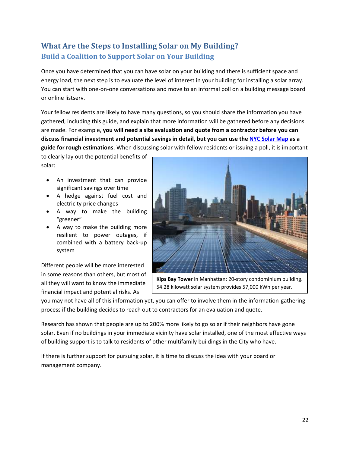# <span id="page-21-1"></span><span id="page-21-0"></span>**What Are the Steps to Installing Solar on My Building? Build a Coalition to Support Solar on Your Building**

Once you have determined that you can have solar on your building and there is sufficient space and energy load, the next step is to evaluate the level of interest in your building for installing a solar array. You can start with one-on-one conversations and move to an informal poll on a building message board or online listserv.

Your fellow residents are likely to have many questions, so you should share the information you have gathered, including this guide, and explain that more information will be gathered before any decisions are made. For example, **you will need a site evaluation and quote from a contractor before you can discuss financial investment and potential savings in detail, but you can use th[e NYC Solar Map](http://nycsolarmap.com/) as a guide for rough estimations**. When discussing solar with fellow residents or issuing a poll, it is important

to clearly lay out the potential benefits of solar:

- An investment that can provide significant savings over time
- A hedge against fuel cost and electricity price changes
- A way to make the building "greener"
- A way to make the building more resilient to power outages, if combined with a battery back-up system

Different people will be more interested in some reasons than others, but most of all they will want to know the immediate financial impact and potential risks. As



**Kips Bay Tower** in Manhattan: 20-story condominium building. 54.28 kilowatt solar system provides 57,000 kWh per year.

you may not have all of this information yet, you can offer to involve them in the information-gathering process if the building decides to reach out to contractors for an evaluation and quote.

Research has shown that people are up to 200% more likely to go solar if their neighbors have gone solar. Even if no buildings in your immediate vicinity have solar installed, one of the most effective ways of building support is to talk to residents of other multifamily buildings in the City who have.

If there is further support for pursuing solar, it is time to discuss the idea with your board or management company.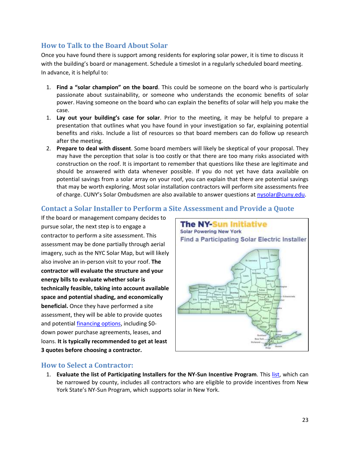## <span id="page-22-0"></span>**How to Talk to the Board About Solar**

Once you have found there is support among residents for exploring solar power, it is time to discuss it with the building's board or management. Schedule a timeslot in a regularly scheduled board meeting. In advance, it is helpful to:

- 1. **Find a "solar champion" on the board**. This could be someone on the board who is particularly passionate about sustainability, or someone who understands the economic benefits of solar power. Having someone on the board who can explain the benefits of solar will help you make the case.
- 1. **Lay out your building's case for solar**. Prior to the meeting, it may be helpful to prepare a presentation that outlines what you have found in your investigation so far, explaining potential benefits and risks. Include a list of resources so that board members can do follow up research after the meeting.
- 2. **Prepare to deal with dissent**. Some board members will likely be skeptical of your proposal. They may have the perception that solar is too costly or that there are too many risks associated with construction on the roof. It is important to remember that questions like these are legitimate and should be answered with data whenever possible. If you do not yet have data available on potential savings from a solar array on your roof, you can explain that there are potential savings that may be worth exploring. Most solar installation contractors will perform site assessments free of charge. CUNY's Solar Ombudsmen are also available to answer questions at [nysolar@cuny.edu.](mailto:nysolar@cuny.edu?subject=Multifamily%20Solar%20Question)

## <span id="page-22-1"></span>**Contact a Solar Installer to Perform a Site Assessment and Provide a Quote**

If the board or management company decides to pursue solar, the next step is to engage a contractor to perform a site assessment. This assessment may be done partially through aerial imagery, such as the NYC Solar Map, but will likely also involve an in-person visit to your roof. **The contractor will evaluate the structure and your energy bills to evaluate whether solar is technically feasible, taking into account available space and potential shading, and economically beneficial.** Once they have performed a site assessment, they will be able to provide quotes and potential [financing options,](#page-18-0) including \$0 down power purchase agreements, leases, and loans. **It is typically recommended to get at least 3 quotes before choosing a contractor.**



## <span id="page-22-2"></span>**How to Select a Contractor:**

1. **Evaluate the list of Participating Installers for the NY-Sun Incentive Program**. This [list,](http://ny-sun.ny.gov/Get-Solar/Find-A-Solar-Electric-Installer.aspx) which can be narrowed by county, includes all contractors who are eligible to provide incentives from New York State's NY-Sun Program, which supports solar in New York.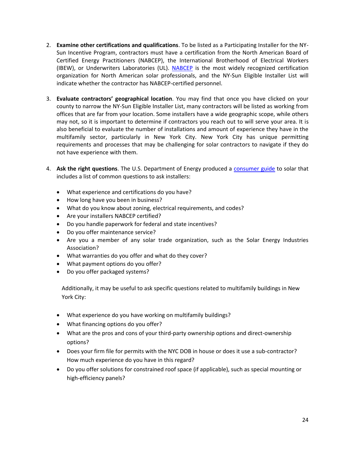- 2. **Examine other certifications and qualifications**. To be listed as a Participating Installer for the NY-Sun Incentive Program, contractors must have a certification from the North American Board of Certified Energy Practitioners (NABCEP), the International Brotherhood of Electrical Workers (IBEW), or Underwriters Laboratories (UL). [NABCEP](http://www.nabcep.org/) is the most widely recognized certification organization for North American solar professionals, and the NY-Sun Eligible Installer List will indicate whether the contractor has NABCEP-certified personnel.
- 3. **Evaluate contractors' geographical location**. You may find that once you have clicked on your county to narrow the NY-Sun Eligible Installer List, many contractors will be listed as working from offices that are far from your location. Some installers have a wide geographic scope, while others may not, so it is important to determine if contractors you reach out to will serve your area. It is also beneficial to evaluate the number of installations and amount of experience they have in the multifamily sector, particularly in New York City. New York City has unique permitting requirements and processes that may be challenging for solar contractors to navigate if they do not have experience with them.
- 4. **Ask the right questions**. The U.S. Department of Energy produced a [consumer guide](https://www1.eere.energy.gov/solar/pdfs/43844.pdf) to solar that includes a list of common questions to ask installers:
	- What experience and certifications do you have?
	- How long have you been in business?
	- What do you know about zoning, electrical requirements, and codes?
	- Are your installers NABCEP certified?
	- Do you handle paperwork for federal and state incentives?
	- Do you offer maintenance service?
	- Are you a member of any solar trade organization, such as the Solar Energy Industries Association?
	- What warranties do you offer and what do they cover?
	- What payment options do you offer?
	- Do you offer packaged systems?

Additionally, it may be useful to ask specific questions related to multifamily buildings in New York City:

- What experience do you have working on multifamily buildings?
- What financing options do you offer?
- What are the pros and cons of your third-party ownership options and direct-ownership options?
- Does your firm file for permits with the NYC DOB in house or does it use a sub-contractor? How much experience do you have in this regard?
- Do you offer solutions for constrained roof space (if applicable), such as special mounting or high-efficiency panels?